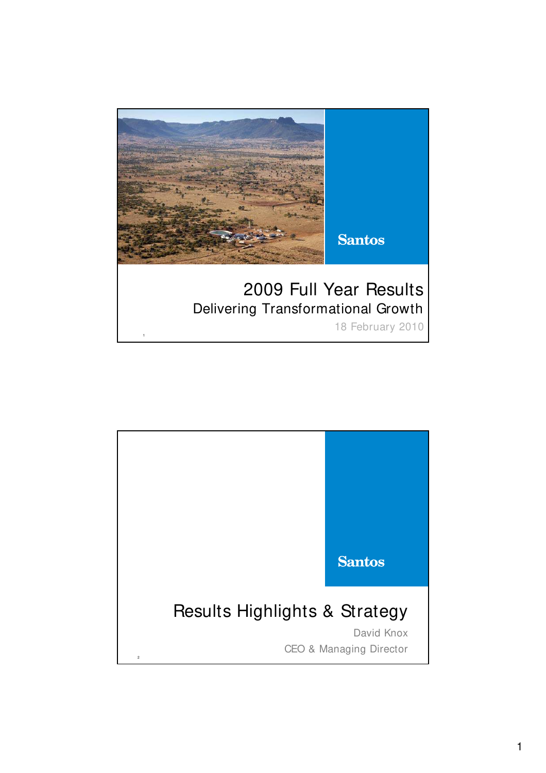

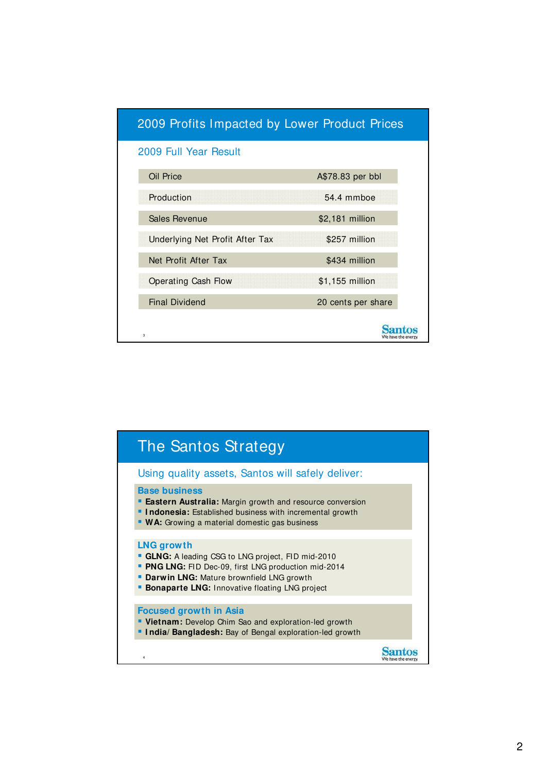| 2009 Profits Impacted by Lower Product Prices |                    |  |
|-----------------------------------------------|--------------------|--|
| 2009 Full Year Result                         |                    |  |
| Oil Price                                     | A\$78.83 per bbl   |  |
| Production                                    | 54.4 mmboe         |  |
| <b>Sales Revenue</b>                          | \$2,181 million    |  |
| Underlying Net Profit After Tax               | \$257 million      |  |
| Net Profit After Tax                          | \$434 million      |  |
| <b>Operating Cash Flow</b>                    | \$1,155 million    |  |
| <b>Final Dividend</b>                         | 20 cents per share |  |
| 3                                             |                    |  |

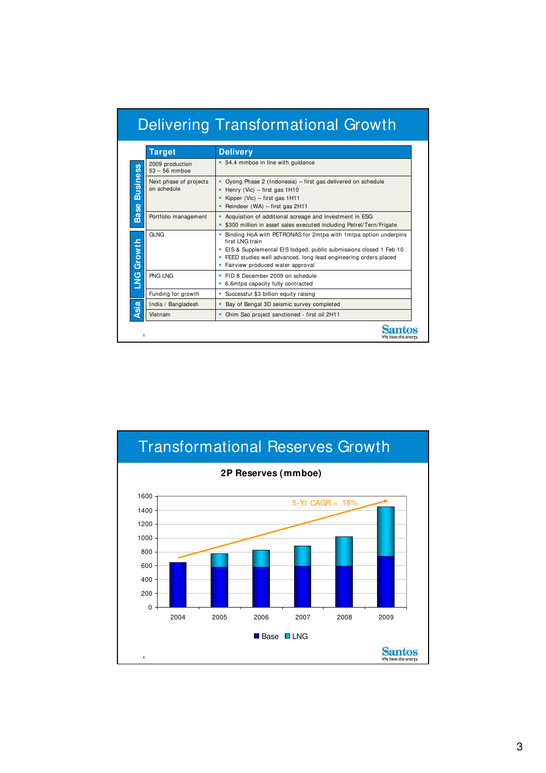| <b>Delivering Transformational Growth</b> |  |  |
|-------------------------------------------|--|--|
|                                           |  |  |
|                                           |  |  |

|                   | <b>Target</b>                         | <b>Delivery</b>                                                                                                                                                                                                                                                  |  |
|-------------------|---------------------------------------|------------------------------------------------------------------------------------------------------------------------------------------------------------------------------------------------------------------------------------------------------------------|--|
|                   | 2009 production<br>$53 - 56$ mmboe    | • 54.4 mmboe in line with guidance                                                                                                                                                                                                                               |  |
| <b>Business</b>   | Next phase of projects<br>on schedule | Oyong Phase 2 (Indonesia) – first gas delivered on schedule<br>Henry (Vic) – first gas $1H10$<br>Kipper (Vic) – first gas 1H11<br>• Reindeer (WA) – first gas $2H11$                                                                                             |  |
| <b>Base</b>       | Portfolio management                  | • Acquisition of additional acreage and investment in ESG<br>• \$300 million in asset sales executed including Petrel/Tern/Frigate                                                                                                                               |  |
| <b>LNG Growth</b> | <b>GLNG</b>                           | Binding HoA with PETRONAS for 2mtpa with 1mtpa option underpins<br>first LNG train<br>EIS & Supplemental EIS lodged, public submissions closed 1 Feb 10<br>• FEED studies well advanced, long lead engineering orders placed<br>Fairview produced water approval |  |
|                   | PNG LNG                               | FID 8 December 2009 on schedule<br>6.6mtpa capacity fully contracted                                                                                                                                                                                             |  |
|                   | Funding for growth                    | Successful \$3 billion equity raising                                                                                                                                                                                                                            |  |
| <b>Asia</b>       | India / Bangladesh                    | Bay of Bengal 3D seismic survey completed                                                                                                                                                                                                                        |  |
|                   | Vietnam                               | Chim Sao project sanctioned - first oil 2H11                                                                                                                                                                                                                     |  |

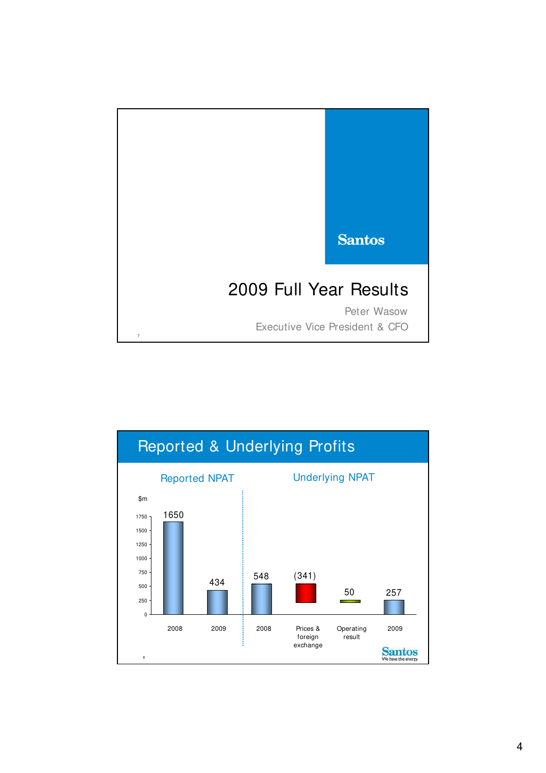

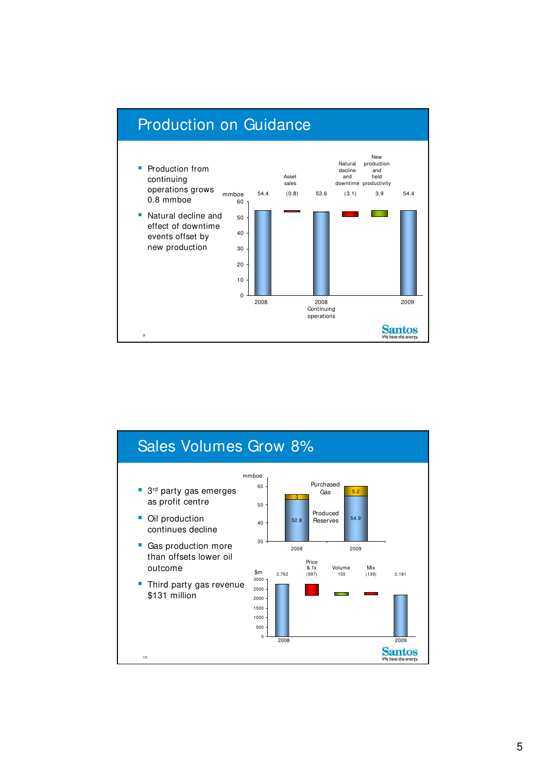

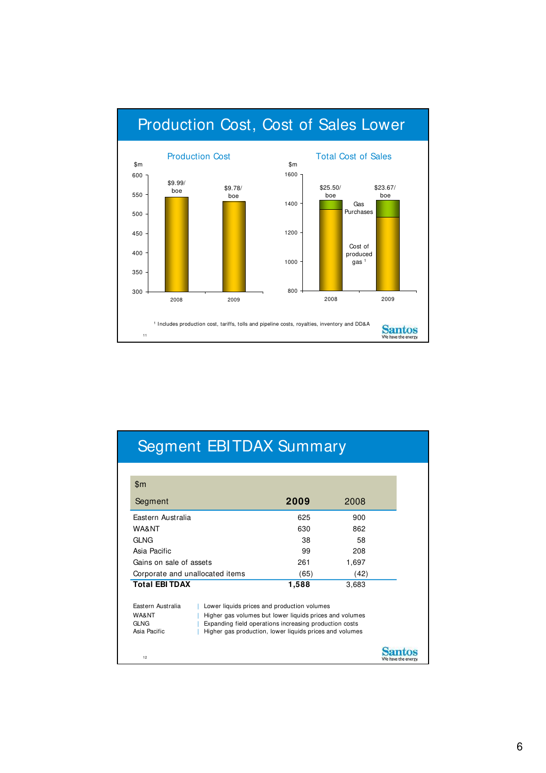

# Segment EBITDAX Summary

| \$m                             |                                                         |                    |
|---------------------------------|---------------------------------------------------------|--------------------|
| Segment                         | 2009                                                    | 2008               |
| Eastern Australia               | 625                                                     | 900                |
| WA&NT                           | 630                                                     | 862                |
| <b>GLNG</b>                     | 38                                                      | 58                 |
| Asia Pacific                    | 99                                                      | 208                |
| Gains on sale of assets         | 261                                                     | 1,697              |
| Corporate and unallocated items | (65)                                                    | (42)               |
| <b>Total EBITDAX</b>            | 1,588                                                   | 3,683              |
| Eastern Australia               | Lower liquids prices and production volumes             |                    |
| WA&NT                           | Higher gas volumes but lower liquids prices and volumes |                    |
| GLNG                            | Expanding field operations increasing production costs  |                    |
| Asia Pacific                    | Higher gas production, lower liquids prices and volumes |                    |
|                                 |                                                         |                    |
| 12                              |                                                         | We have the energy |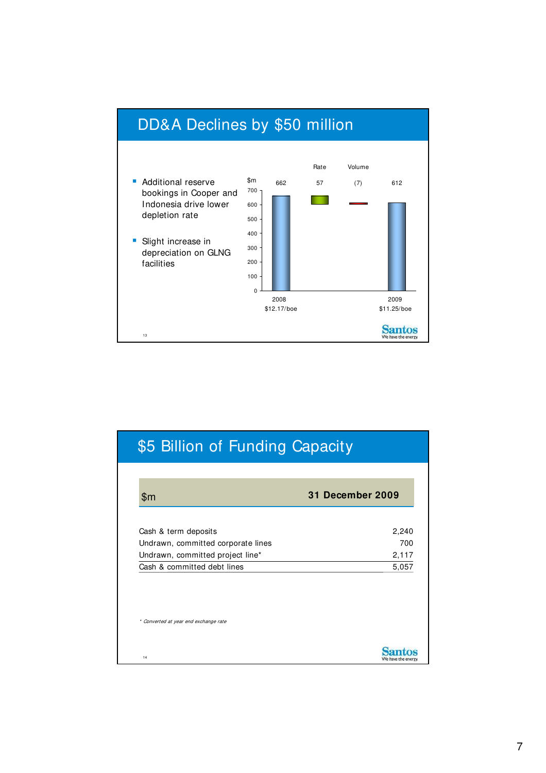

| \$m                                | 31 December 2009 |
|------------------------------------|------------------|
| Cash & term deposits               | 2,240            |
| Undrawn, committed corporate lines | 700              |
| Undrawn, committed project line*   | 2,117            |
| Cash & committed debt lines        | 5,057            |
|                                    |                  |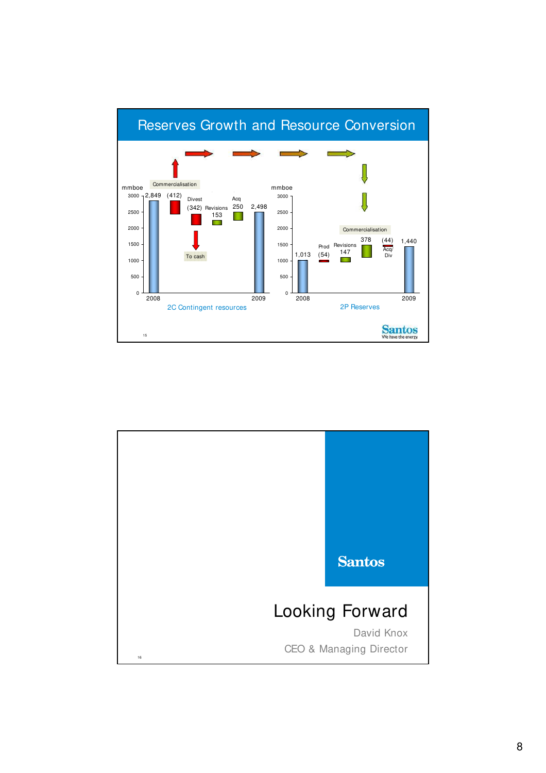

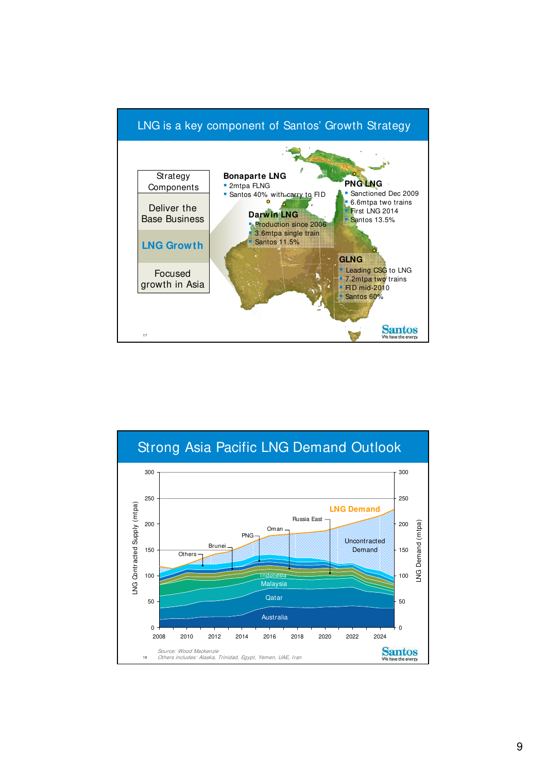

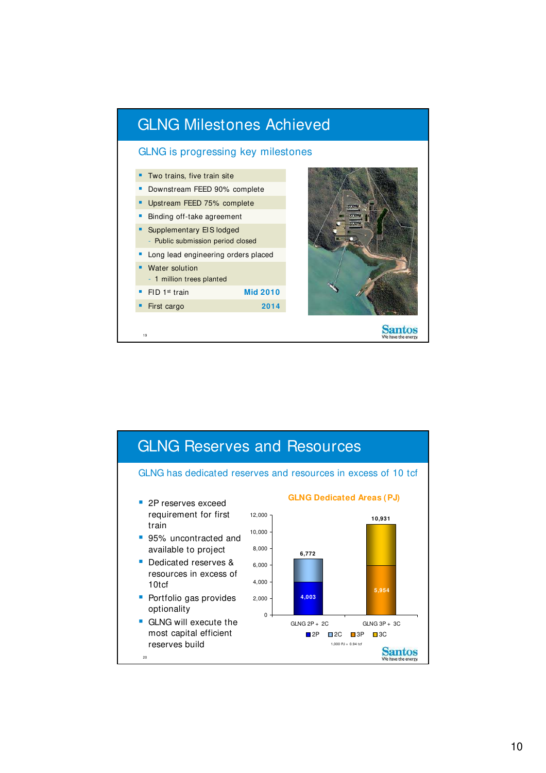

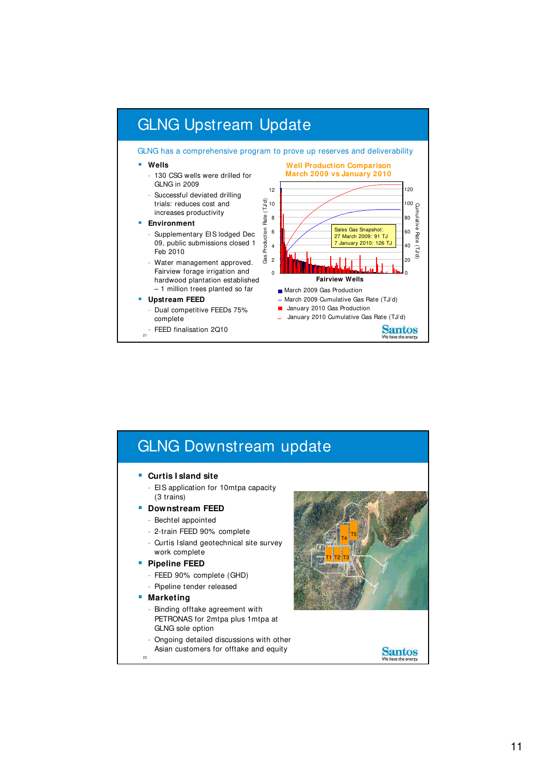

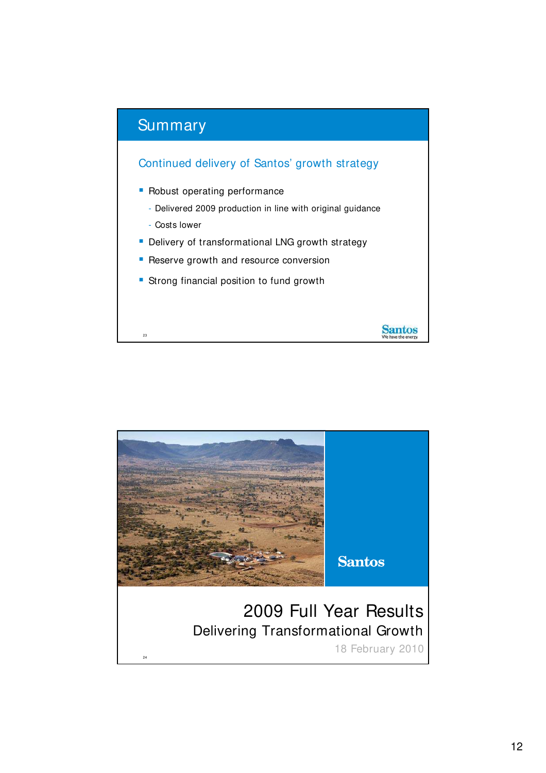

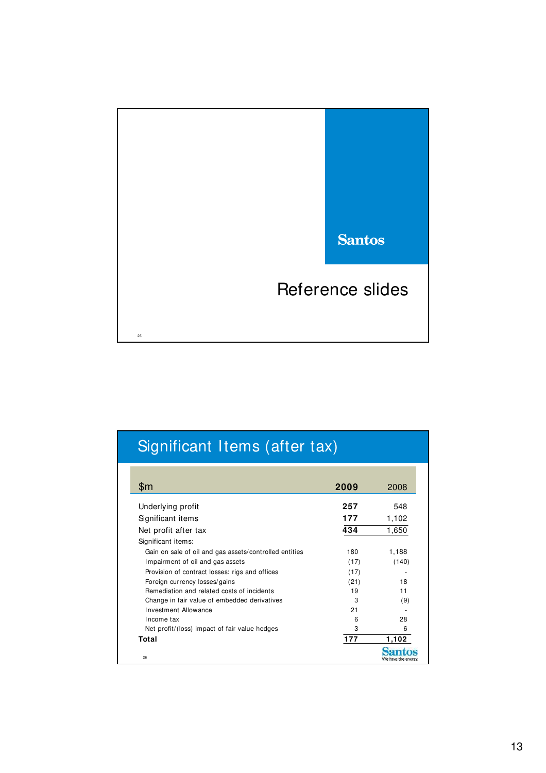

| Significant Items (after tax)                                                                                                                                                                                                                                                                                                                                                                                                                              |                                                                             |                                                                       |
|------------------------------------------------------------------------------------------------------------------------------------------------------------------------------------------------------------------------------------------------------------------------------------------------------------------------------------------------------------------------------------------------------------------------------------------------------------|-----------------------------------------------------------------------------|-----------------------------------------------------------------------|
| \$m                                                                                                                                                                                                                                                                                                                                                                                                                                                        | 2009                                                                        | 2008                                                                  |
| Underlying profit<br>Significant items<br>Net profit after tax<br>Significant items:<br>Gain on sale of oil and gas assets/controlled entities<br>Impairment of oil and gas assets<br>Provision of contract losses: rigs and offices<br>Foreign currency losses/gains<br>Remediation and related costs of incidents<br>Change in fair value of embedded derivatives<br>Investment Allowance<br>Income tax<br>Net profit/(loss) impact of fair value hedges | 257<br>177<br>434<br>180<br>(17)<br>(17)<br>(21)<br>19<br>3<br>21<br>6<br>3 | 548<br>1,102<br>1,650<br>1,188<br>(140)<br>18<br>11<br>(9)<br>28<br>6 |
| Total<br>26                                                                                                                                                                                                                                                                                                                                                                                                                                                | 177                                                                         | 1,102                                                                 |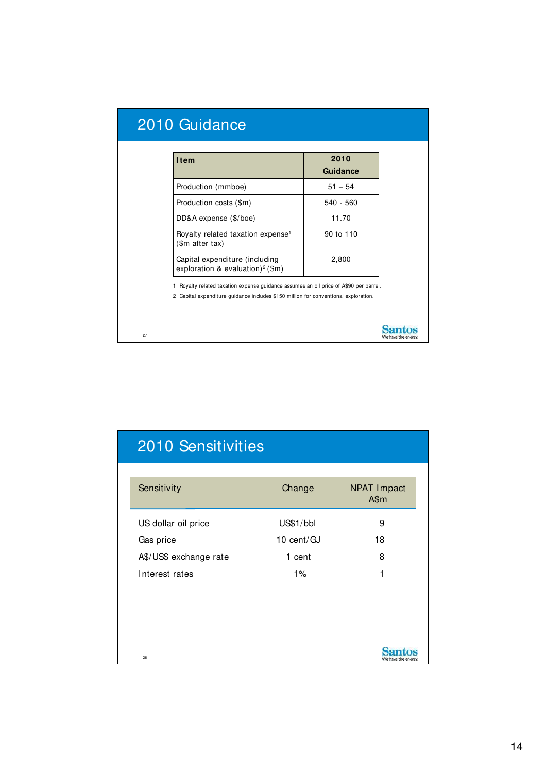| 2010 Guidance                                                                                                                                                                |             |
|------------------------------------------------------------------------------------------------------------------------------------------------------------------------------|-------------|
|                                                                                                                                                                              |             |
| <b>Item</b>                                                                                                                                                                  | 2010        |
|                                                                                                                                                                              | Guidance    |
| Production (mmboe)                                                                                                                                                           | $51 - 54$   |
| Production costs (\$m)                                                                                                                                                       | $540 - 560$ |
| DD&A expense (\$/boe)                                                                                                                                                        | 11.70       |
| Royalty related taxation expense <sup>1</sup><br>(\$m after tax)                                                                                                             | 90 to 110   |
| Capital expenditure (including<br>exploration & evaluation) <sup>2</sup> (\$m)                                                                                               | 2,800       |
| 1 Royalty related taxation expense guidance assumes an oil price of A\$90 per barrel.<br>2 Capital expenditure quidance includes \$150 million for conventional exploration. |             |
| 27                                                                                                                                                                           |             |

| <b>2010 Sensitivities</b> |            |                            |
|---------------------------|------------|----------------------------|
| Sensitivity               | Change     | <b>NPAT Impact</b><br>A\$m |
| US dollar oil price       | US\$1/bbl  | 9                          |
| Gas price                 | 10 cent/GJ | 18                         |
| A\$/US\$ exchange rate    | 1 cent     | 8                          |
| Interest rates            | 1%         | 1                          |
|                           |            |                            |
|                           |            |                            |
| 28                        |            | We have the energy         |